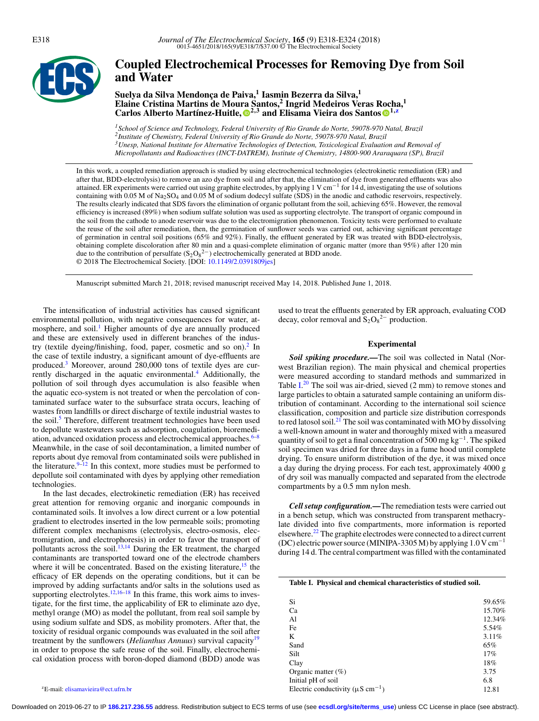

# **Coupled Electrochemical Processes for Removing Dye from Soil and Water**

**Suelya da Silva Mendonc¸a de Paiva,1 Iasmin Bezerra da Silva,<sup>1</sup> Elaine Cristina Martins de Mou[ra](#page-5-0) Santos,<sup>2</sup> Ingrid Medeiros Veras [Roc](#page-5-1)ha,<sup>1</sup> Carlos Alberto Mart´ınez-Huitle, 2,3 and Elisama Vieira dos Santos 1[,z](#page-0-0)**

*1School of Science and Technology, Federal University of Rio Grande do Norte, 59078-970 Natal, Brazil 2Institute of Chemistry, Federal University of Rio Grande do Norte, 59078-970 Natal, Brazil 3Unesp, National Institute for Alternative Technologies of Detection, Toxicological Evaluation and Removal of Micropollutants and Radioactives (INCT-DATREM), Institute of Chemistry, 14800-900 Araraquara (SP), Brazil*

In this work, a coupled remediation approach is studied by using electrochemical technologies (electrokinetic remediation (ER) and after that, BDD-electrolysis) to remove an azo dye from soil and after that, the elimination of dye from generated effluents was also attained. ER experiments were carried out using graphite electrodes, by applying 1 V cm−<sup>1</sup> for 14 d, investigating the use of solutions containing with 0.05 M of Na2SO4 and 0.05 M of sodium dodecyl sulfate (SDS) in the anodic and cathodic reservoirs, respectively. The results clearly indicated that SDS favors the elimination of organic pollutant from the soil, achieving 65%. However, the removal efficiency is increased (89%) when sodium sulfate solution was used as supporting electrolyte. The transport of organic compound in the soil from the cathode to anode reservoir was due to the electromigration phenomenon. Toxicity tests were performed to evaluate the reuse of the soil after remediation, then, the germination of sunflower seeds was carried out, achieving significant percentage of germination in central soil positions (65% and 92%). Finally, the effluent generated by ER was treated with BDD-electrolysis, obtaining complete discoloration after 80 min and a quasi-complete elimination of organic matter (more than 95%) after 120 min due to the contribution of persulfate  $(S_2O_8^{2-})$  electrochemically generated at BDD anode. © 2018 The Electrochemical Society. [DOI: [10.1149/2.0391809jes\]](http://dx.doi.org/10.1149/2.0391809jes)

Manuscript submitted March 21, 2018; revised manuscript received May 14, 2018. Published June 1, 2018.

The intensification of industrial activities has caused significant environmental pollution, with negative consequences for water, atmosphere, and soil.<sup>1</sup> Higher amounts of dye are annually produced and these are extensively used in different branches of the industry (textile dyeing/finishing, food, paper, cosmetic and so on). $2 \text{ In }$ the case of textile industry, a significant amount of dye-effluents are produced[.3](#page-5-4) Moreover, around 280,000 tons of textile dyes are cur-rently discharged in the aquatic environmental.<sup>[4](#page-5-5)</sup> Additionally, the pollution of soil through dyes accumulation is also feasible when the aquatic eco-system is not treated or when the percolation of contaminated surface water to the subsurface strata occurs, leaching of wastes from landfills or direct discharge of textile industrial wastes to the soil.<sup>5</sup> Therefore, different treatment technologies have been used to depollute wastewaters such as adsorption, coagulation, bioremediation, advanced oxidation process and electrochemical approaches. $6-8$  $6-8$ Meanwhile, in the case of soil decontamination, a limited number of reports about dye removal from contaminated soils were published in the literature.  $9-12$  In this context, more studies must be performed to depollute soil contaminated with dyes by applying other remediation technologies.

In the last decades, electrokinetic remediation (ER) has received great attention for removing organic and inorganic compounds in contaminated soils. It involves a low direct current or a low potential gradient to electrodes inserted in the low permeable soils; promoting different complex mechanisms (electrolysis, electro-osmosis, electromigration, and electrophoresis) in order to favor the transport of pollutants across the soil.<sup>13[,14](#page-5-12)</sup> During the ER treatment, the charged contaminants are transported toward one of the electrode chambers where it will be concentrated. Based on the existing literature,  $15$  the efficacy of ER depends on the operating conditions, but it can be improved by adding surfactants and/or salts in the solutions used as supporting electrolytes. $12,16-18$  $12,16-18$  In this frame, this work aims to investigate, for the first time, the applicability of ER to eliminate azo dye, methyl orange (MO) as model the pollutant, from real soil sample by using sodium sulfate and SDS, as mobility promoters. After that, the toxicity of residual organic compounds was evaluated in the soil after treatment by the sunflowers (*Helianthus Annuus*) survival capacit[y19](#page-5-16) in order to propose the safe reuse of the soil. Finally, electrochemical oxidation process with boron-doped diamond (BDD) anode was

used to treat the effluents generated by ER approach, evaluating COD decay, color removal and  $S_2O_8^{2-}$  production.

# **Experimental**

*Soil spiking procedure.—*The soil was collected in Natal (Norwest Brazilian region). The main physical and chemical properties were measured according to standard methods and summarized in Table  $I^{20}$  $I^{20}$  $I^{20}$  The soil was air-dried, sieved  $(2 \text{ mm})$  to remove stones and large particles to obtain a saturated sample containing an uniform distribution of contaminant. According to the international soil science classification, composition and particle size distribution corresponds to red latosol soil.<sup>[21](#page-5-18)</sup> The soil was contaminated with MO by dissolving a well-known amount in water and thoroughly mixed with a measured quantity of soil to get a final concentration of 500 mg  $kg^{-1}$ . The spiked soil specimen was dried for three days in a fume hood until complete drying. To ensure uniform distribution of the dye, it was mixed once a day during the drying process. For each test, approximately 4000 g of dry soil was manually compacted and separated from the electrode compartments by a 0.5 mm nylon mesh.

*Cell setup configuration.—*The remediation tests were carried out in a bench setup, which was constructed from transparent methacrylate divided into five compartments, more information is reported elsewhere.<sup>22</sup> The graphite electrodes were connected to a direct current (DC) electric power source (MINIPA-3305 M) by applying  $1.0 \text{ V cm}^{-1}$ during 14 d. The central compartment was filled with the contaminated

<span id="page-0-1"></span>

| Table I. Physical and chemical characteristics of studied soil. |        |
|-----------------------------------------------------------------|--------|
| Si                                                              | 59.65% |
| Ca                                                              | 15.70% |
| Al                                                              | 12.34% |
| Fe                                                              | 5.54%  |
| K                                                               | 3.11%  |
| Sand                                                            | 65%    |
| Silt                                                            | 17%    |
| Clay                                                            | 18%    |
| Organic matter $(\%)$                                           | 3.75   |
| Initial pH of soil                                              | 6.8    |
| Electric conductivity ( $\mu$ S cm <sup>-1</sup> )              | 12.81  |

<span id="page-0-0"></span>zE-mail: [elisamavieira@ect.ufrn.br](mailto:elisamavieira@ect.ufrn.br)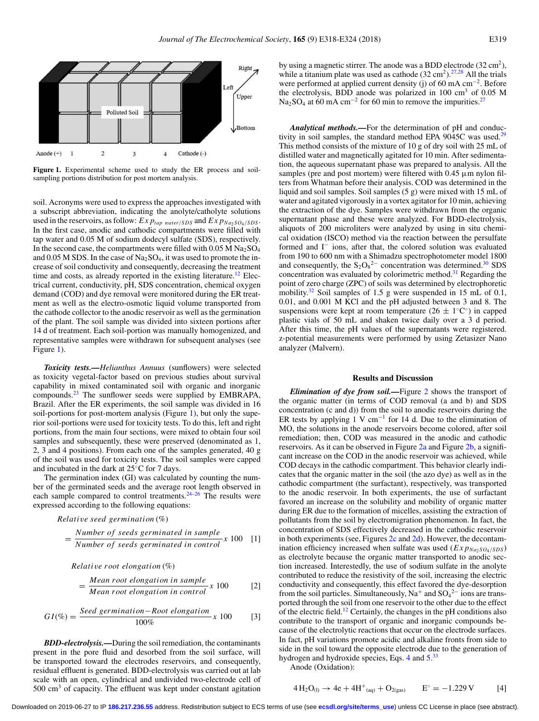<span id="page-1-0"></span>

**Figure 1.** Experimental scheme used to study the ER process and soilsampling portions distribution for post mortem analysis.

soil. Acronyms were used to express the approaches investigated with a subscript abbreviation, indicating the anolyte/catholyte solutions used in the reservoirs, as follow:  $Ex p_{tap \ water/SDS}$  and  $Ex p_{Na_2SO_4/SDS}$ . In the first case, anodic and cathodic compartments were filled with tap water and 0.05 M of sodium dodecyl sulfate (SDS), respectively. In the second case, the compartments were filled with  $0.05$  M  $\mathrm{Na}_2\mathrm{SO}_4$ and  $0.05$  M SDS. In the case of Na<sub>2</sub>SO<sub>4</sub>, it was used to promote the increase of soil conductivity and consequently, decreasing the treatment time and costs, as already reported in the existing literature.<sup>12</sup> Electrical current, conductivity, pH, SDS concentration, chemical oxygen demand (COD) and dye removal were monitored during the ER treatment as well as the electro-osmotic liquid volume transported from the cathode collector to the anodic reservoir as well as the germination of the plant. The soil sample was divided into sixteen portions after 14 d of treatment. Each soil-portion was manually homogenized, and representative samples were withdrawn for subsequent analyses (see Figure [1\)](#page-1-0).

*Toxicity tests.—Helianthus Annuus* (sunflowers) were selected as toxicity vegetal-factor based on previous studies about survival capability in mixed contaminated soil with organic and inorganic compounds.[23](#page-5-20) The sunflower seeds were supplied by EMBRAPA, Brazil. After the ER experiments, the soil sample was divided in 16 soil-portions for post-mortem analysis (Figure [1\)](#page-1-0), but only the superior soil-portions were used for toxicity tests. To do this, left and right portions, from the main four sections, were mixed to obtain four soil samples and subsequently, these were preserved (denominated as 1, 2, 3 and 4 positions). From each one of the samples generated, 40 g of the soil was used for toxicity tests. The soil samples were capped and incubated in the dark at 25◦C for 7 days.

The germination index (GI) was calculated by counting the number of the germinated seeds and the average root length observed in each sample compared to control treatments.<sup>[24](#page-5-21)-26</sup> The results were expressed according to the following equations:

*Relati*v*e seed germination* (%)

$$
= \frac{Number\ of\ seeds\ germinated\ in\ sample}{Number\ of\ seeds\ germinated\ in\ control} x\ 100\ [1]
$$

*Relati*v*e r oot elongation* (%)

$$
= \frac{Mean\ root\ elongation\ in\ sample}{Mean\ root\ elongation\ in\ control} \times 100
$$
 [2]

$$
GI(\%) = \frac{Seed~germination - Root~elongation}{100\%}x~100
$$
 [3]

*BDD-electrolysis.—*During the soil remediation, the contaminants present in the pore fluid and desorbed from the soil surface, will be transported toward the electrodes reservoirs, and consequently, residual effluent is generated. BDD-electrolysis was carried out at lab scale with an open, cylindrical and undivided two-electrode cell of  $500 \text{ cm}^3$  of capacity. The effluent was kept under constant agitation

by using a magnetic stirrer. The anode was a BDD electrode  $(32 \text{ cm}^2)$ , while a titanium plate was used as cathode  $(32 \text{ cm}^2)$ .<sup>27,[28](#page-5-24)</sup> All the trials were performed at applied current density (j) of 60 mA cm−2. Before the electrolysis, BDD anode was polarized in  $100 \text{ cm}^3$  of  $0.05 \text{ M}$ Na<sub>2</sub>SO<sub>4</sub> at 60 mA cm<sup>-2</sup> for 60 min to remove the impurities.<sup>27</sup>

*Analytical methods.—*For the determination of pH and conductivity in soil samples, the standard method EPA  $9045C$  was used.<sup>29</sup> This method consists of the mixture of 10 g of dry soil with 25 mL of distilled water and magnetically agitated for 10 min. After sedimentation, the aqueous supernatant phase was prepared to analysis. All the samples (pre and post mortem) were filtered with  $0.45 \mu$ m nylon filters from Whatman before their analysis. COD was determined in the liquid and soil samples. Soil samples (5 g) were mixed with 15 mL of water and agitated vigorously in a vortex agitator for 10 min, achieving the extraction of the dye. Samples were withdrawn from the organic supernatant phase and these were analyzed. For BDD-electrolysis, aliquots of 200 microliters were analyzed by using in situ chemical oxidation (ISCO) method via the reaction between the persulfate formed and I<sup>−</sup> ions, after that, the colored solution was evaluated from 190 to 600 nm with a Shimadzu spectrophotometer model 1800 and consequently, the  $S_2O_8^2$  concentration was determined.<sup>30</sup> SDS concentration was evaluated by colorimetric method.<sup>31</sup> Regarding the point of zero charge (ZPC) of soils was determined by electrophoretic mobility.<sup>32</sup> Soil samples of 1.5 g were suspended in 15 mL of 0.1, 0.01, and 0.001 M KCl and the pH adjusted between 3 and 8. The suspensions were kept at room temperature ( $26 \pm 1$ °C°) in capped plastic vials of 50 mL and shaken twice daily over a 3 d period. After this time, the pH values of the supernatants were registered. z-potential measurements were performed by using Zetasizer Nano analyzer (Malvern).

## **Results and Discussion**

*Elimination of dye from soil.*—Figure [2](#page-2-0) shows the transport of the organic matter (in terms of COD removal (a and b) and SDS concentration (c and d)) from the soil to anodic reservoirs during the ER tests by applying 1 V cm<sup>-1</sup> for 14 d. Due to the elimination of MO, the solutions in the anode reservoirs become colored, after soil remediation; then, COD was measured in the anodic and cathodic reservoirs. As it can be observed in Figure [2a](#page-2-0) and Figure [2b,](#page-2-0) a significant increase on the COD in the anodic reservoir was achieved, while COD decays in the cathodic compartment. This behavior clearly indicates that the organic matter in the soil (the azo dye) as well as in the cathodic compartment (the surfactant), respectively, was transported to the anodic reservoir. In both experiments, the use of surfactant favored an increase on the solubility and mobility of organic matter during ER due to the formation of micelles, assisting the extraction of pollutants from the soil by electromigration phenomenon. In fact, the concentration of SDS effectively decreased in the cathodic reservoir in both experiments (see, Figures  $2c$  and  $2d$ ). However, the decontamination efficiency increased when sulfate was used  $(Exp_{Na_2SO_4/SDS})$ as electrolyte because the organic matter transported to anodic section increased. Interestedly, the use of sodium sulfate in the anolyte contributed to reduce the resistivity of the soil, increasing the electric conductivity and consequently, this effect favored the dye-desorption from the soil particles. Simultaneously,  $Na^+$  and  $SO_4^2^-$  ions are transported through the soil from one reservoir to the other due to the effect of the electric field.<sup>[12](#page-5-10)</sup> Certainly, the changes in the pH conditions also contribute to the transport of organic and inorganic compounds because of the electrolytic reactions that occur on the electrode surfaces. In fact, pH variations promote acidic and alkaline fronts from side to side in the soil toward the opposite electrode due to the generation of hydrogen and hydroxide species, Eqs. [4](#page-1-1) and [5.](#page-2-1)<sup>[33](#page-6-2)</sup>

Anode (Oxidation):

<span id="page-1-1"></span>
$$
4 H_2 O_{(l)} \to 4e + 4H^+_{(aq)} + O_{2(gas)} \qquad E^\circ = -1.229 \, V \tag{4}
$$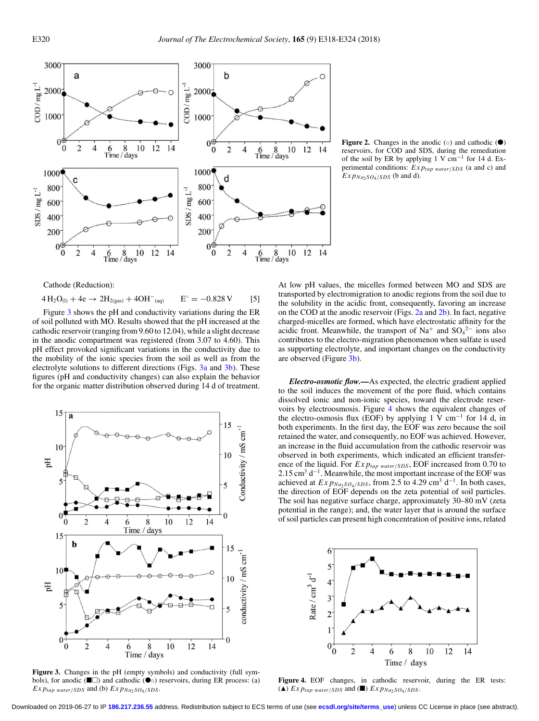<span id="page-2-0"></span>

**Figure 2.** Changes in the anodic  $( \circ )$  and cathodic  $( \bullet )$ reservoirs, for COD and SDS, during the remediation of the soil by ER by applying 1 V cm<sup>-1</sup> for 14 d. Experimental conditions: *Exptap* <sup>w</sup>*ater*/*SDS* (a and c) and  $Exp_{Na_2SO_4/SDS}$  (b and d).

<span id="page-2-1"></span>Cathode (Reduction):

 $4 H_2O_{(1)} + 4e \rightarrow 2H_{2(gas)} + 4OH_{(aq)}$   $E^\circ = -0.828 \text{ V}$  [5]

Figure [3](#page-2-2) shows the pH and conductivity variations during the ER of soil polluted with MO. Results showed that the pH increased at the cathodic reservoir (ranging from 9.60 to 12.04), while a slight decrease in the anodic compartment was registered (from 3.07 to 4.60). This pH effect provoked significant variations in the conductivity due to the mobility of the ionic species from the soil as well as from the electrolyte solutions to different directions (Figs. [3a](#page-2-2) and [3b\)](#page-2-2). These figures (pH and conductivity changes) can also explain the behavior for the organic matter distribution observed during 14 d of treatment.

<span id="page-2-2"></span>

**Figure 3.** Changes in the pH (empty symbols) and conductivity (full symbols), for anodic ( $\square$ ) and cathodic ( $\bullet$ ⊙) reservoirs, during ER process: (a)  $Ex$ *p<sub>tap</sub>* water/*SDS* and (b)  $Ex$ *p<sub>Na2</sub>SO<sub>4</sub>/SDS</sub>*.

At low pH values, the micelles formed between MO and SDS are transported by electromigration to anodic regions from the soil due to the solubility in the acidic front, consequently, favoring an increase on the COD at the anodic reservoir (Figs. [2a](#page-2-0) and [2b\)](#page-2-0). In fact, negative charged-micelles are formed, which have electrostatic affinity for the acidic front. Meanwhile, the transport of  $Na<sup>+</sup>$  and  $SO<sub>4</sub><sup>2-</sup>$  ions also contributes to the electro-migration phenomenon when sulfate is used as supporting electrolyte, and important changes on the conductivity are observed (Figure [3b\)](#page-2-2).

*Electro-osmotic flow.—*As expected, the electric gradient applied to the soil induces the movement of the pore fluid, which contains dissolved ionic and non-ionic species, toward the electrode reservoirs by electroosmosis. Figure [4](#page-2-3) shows the equivalent changes of the electro-osmosis flux (EOF) by applying 1  $\overline{V}$  cm<sup>-1</sup> for 14 d, in both experiments. In the first day, the EOF was zero because the soil retained the water, and consequently, no EOF was achieved. However, an increase in the fluid accumulation from the cathodic reservoir was observed in both experiments, which indicated an efficient transference of the liquid. For  $Exp_{tap \ water/SDS}$ , EOF increased from 0.70 to 2.15 cm<sup>3</sup> d<sup>-1</sup>. Meanwhile, the most important increase of the EOF was achieved at  $Exp_{Na_2SO_4/SDS}$ , from 2.5 to 4.29 cm<sup>3</sup> d<sup>-1</sup>. In both cases, the direction of EOF depends on the zeta potential of soil particles. The soil has negative surface charge, approximately 30–80 mV (zeta potential in the range); and, the water layer that is around the surface of soil particles can present high concentration of positive ions, related

<span id="page-2-3"></span>

Figure 4. EOF changes, in cathodic reservoir, during the ER tests: ( $\triangle$ )  $Ex$   $p_{tap}$  water/*SDS* and ( $\Box$ )  $Ex$   $p_{Na_2SO_4/SDS}$ .

Downloaded on 2019-06-27 to IP **186.217.236.55** address. Redistribution subject to ECS terms of use (see **[ecsdl.org/site/terms\\_use](http://ecsdl.org/site/terms_use)**) unless CC License in place (see abstract).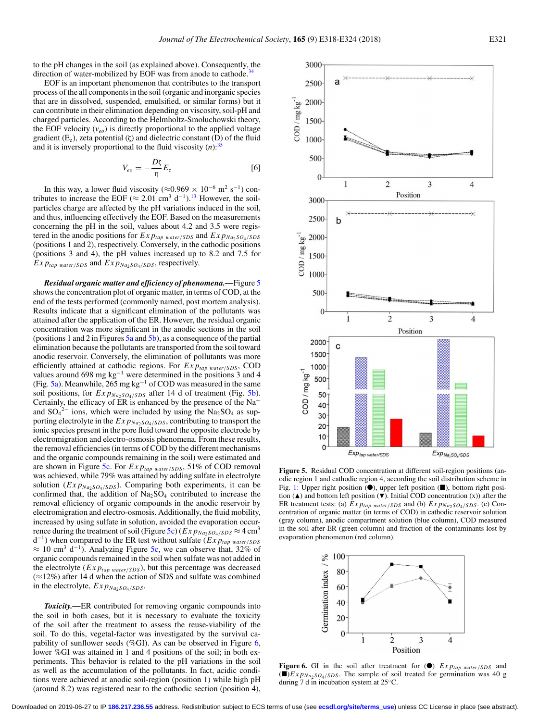to the pH changes in the soil (as explained above). Consequently, the direction of water-mobilized by EOF was from anode to cathode.<sup>3</sup>

EOF is an important phenomenon that contributes to the transport process of the all components in the soil (organic and inorganic species that are in dissolved, suspended, emulsified, or similar forms) but it can contribute in their elimination depending on viscosity, soil-pH and charged particles. According to the Helmholtz-Smoluchowski theory, the EOF velocity  $(v_{eo})$  is directly proportional to the applied voltage gradient  $(E_z)$ , zeta potential  $(\zeta)$  and dielectric constant  $(D)$  of the fluid and it is inversely proportional to the fluid viscosity  $(n)$ <sup>35</sup>

$$
V_{eo} = -\frac{D\zeta}{\eta} E_z \tag{6}
$$

In this way, a lower fluid viscosity ( $\approx$ 0.969 × 10<sup>-6</sup> m<sup>2</sup> s<sup>-1</sup>) contributes to increase the EOF ( $\approx 2.01$  cm<sup>3</sup> d<sup>-1</sup>).<sup>13</sup> However, the soilparticles charge are affected by the pH variations induced in the soil, and thus, influencing effectively the EOF. Based on the measurements concerning the pH in the soil, values about 4.2 and 3.5 were registered in the anodic positions for  $Exp_{tap \ water/SDS}$  and  $Exp_{Na_2SO_4/SDS}$ (positions 1 and 2), respectively. Conversely, in the cathodic positions (positions 3 and 4), the pH values increased up to 8.2 and 7.5 for  $Exp_{tap \ water/SDS}$  and  $Exp_{Na_2SO_4/SDS}$ , respectively.

*Residual organic matter and efficiency of phenomena.—*Figure [5](#page-3-0) shows the concentration plot of organic matter, in terms of COD, at the end of the tests performed (commonly named, post mortem analysis). Results indicate that a significant elimination of the pollutants was attained after the application of the ER. However, the residual organic concentration was more significant in the anodic sections in the soil (positions 1 and 2 in Figures [5a](#page-3-0) and [5b\)](#page-3-0), as a consequence of the partial elimination because the pollutants are transported from the soil toward anodic reservoir. Conversely, the elimination of pollutants was more efficiently attained at cathodic regions. For  $Exp_{tap \ water/SDS}$ , COD values around 698 mg kg−<sup>1</sup> were determined in the positions 3 and 4 (Fig. [5a\)](#page-3-0). Meanwhile, 265 mg kg−<sup>1</sup> of COD was measured in the same soil positions, for  $Exp_{Na_2SO_4/SDS}$  after 14 d of treatment (Fig. [5b\)](#page-3-0). Certainly, the efficacy of ER is enhanced by the presence of the  $Na<sup>+</sup>$ and  $SO_4^2$ <sup>-</sup> ions, which were included by using the Na<sub>2</sub>SO<sub>4</sub> as supporting electrolyte in the  $Exp_{Na_2SO_4/SDS}$ , contributing to transport the ionic species present in the pore fluid toward the opposite electrode by electromigration and electro-osmosis phenomena. From these results, the removal efficiencies (in terms of COD by the different mechanisms and the organic compounds remaining in the soil) were estimated and are shown in Figure [5c.](#page-3-0) For  $Exp_{tap \ water/SDS}$ , 51% of COD removal was achieved, while 79% was attained by adding sulfate in electrolyte solution ( $Exp_{Na_2SO_4/SDS}$ ). Comparing both experiments, it can be confirmed that, the addition of  $Na<sub>2</sub>SO<sub>4</sub>$  contributed to increase the removal efficiency of organic compounds in the anodic reservoir by electromigration and electro-osmosis. Additionally, the fluid mobility, increased by using sulfate in solution, avoided the evaporation occur-rence during the treatment of soil (Figure [5c\)](#page-3-0) ( $Exp_{Na_2SO_4/SDS} \approx 4 \text{ cm}^3$ d−1) when compared to the ER test without sulfate (*Exptap* <sup>w</sup>*ater*/*SDS*  $\approx 10$  cm<sup>3</sup> d<sup>-1</sup>). Analyzing Figure [5c,](#page-3-0) we can observe that, 32% of organic compounds remained in the soil when sulfate was not added in the electrolyte  $(EXp_{tap \ water/SDS})$ , but this percentage was decreased (≈12%) after 14 d when the action of SDS and sulfate was combined in the electrolyte,  $Exp_{Na_2SO_4/SDS}$ .

*Toxicity.—*ER contributed for removing organic compounds into the soil in both cases, but it is necessary to evaluate the toxicity of the soil after the treatment to assess the reuse-viability of the soil. To do this, vegetal-factor was investigated by the survival capability of sunflower seeds (%GI). As can be observed in Figure [6,](#page-3-1) lower %GI was attained in 1 and 4 positions of the soil; in both experiments. This behavior is related to the pH variations in the soil as well as the accumulation of the pollutants. In fact, acidic conditions were achieved at anodic soil-region (position 1) while high pH (around 8.2) was registered near to the cathodic section (position 4),

<span id="page-3-0"></span>

**Figure 5.** Residual COD concentration at different soil-region positions (anodic region 1 and cathodic region 4, according the soil distribution scheme in Fig. [1:](#page-1-0) Upper right position  $(①)$ , upper left position  $(②)$ , bottom right position  $(\triangle)$  and bottom left position  $(\blacktriangledown)$ . Initial COD concentration  $(x)$ ) after the ER treatment tests: (a)  $Exp_{tap \ water/SDS}$  and (b)  $Exp_{Na_2SO_4/SDS}$ . (c) Concentration of organic matter (in terms of COD) in cathodic reservoir solution (gray column), anodic compartment solution (blue column), COD measured in the soil after ER (green column) and fraction of the contaminants lost by evaporation phenomenon (red column).

<span id="page-3-1"></span>

**Figure 6.** GI in the soil after treatment for  $(\bullet)$  *Exp<sub>tap water/SDS* and</sub>  $(\blacksquare)$ *Exp<sub>Na2</sub>SO<sub>4</sub>/SDS</sub>*. The sample of soil treated for germination was 40 g during 7 d in incubation system at 25◦C.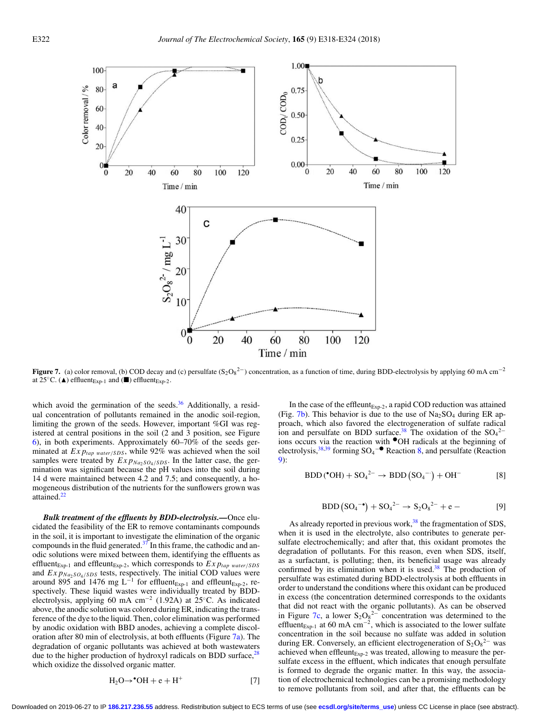<span id="page-4-0"></span>

**Figure 7.** (a) color removal, (b) COD decay and (c) persulfate  $(S_2O_8^2$  concentration, as a function of time, during BDD-electrolysis by applying 60 mA cm<sup>-2</sup> at 25 $\mathrm{^{\circ}C}.$  ( $\blacktriangle$ ) effluent<sub>Exp-1</sub> and ( $\blacksquare$ ) effluent<sub>Exp-2</sub>.

which avoid the germination of the seeds. $36$  Additionally, a residual concentration of pollutants remained in the anodic soil-region, limiting the grown of the seeds. However, important %GI was registered at central positions in the soil (2 and 3 position, see Figure [6\)](#page-3-1), in both experiments. Approximately 60–70% of the seeds germinated at  $Exp_{tap\ water/SDS}$ , while 92% was achieved when the soil samples were treated by  $Exp_{Na_2SO_4/SDS}$ . In the latter case, the germination was significant because the pH values into the soil during 14 d were maintained between 4.2 and 7.5; and consequently, a homogeneous distribution of the nutrients for the sunflowers grown was attained.<sup>22</sup>

*Bulk treatment of the effluents by BDD-electrolysis.—*Once elucidated the feasibility of the ER to remove contaminants compounds in the soil, it is important to investigate the elimination of the organic compounds in the fluid generated. $37$  In this frame, the cathodic and anodic solutions were mixed between them, identifying the effluents as effluent<sub>Exp-1</sub> and effleunt<sub>Exp-2</sub>, which corresponds to  $Exp_{tap \ water/SDS}$ and  $Exp_{Na_2SO_4/SDS}$  tests, respectively. The initial COD values were around 895 and 1476 mg L<sup>-1</sup> for effluent<sub>Exp-1</sub> and effleunt<sub>Exp-2</sub>, respectively. These liquid wastes were individually treated by BDDelectrolysis, applying 60 mA cm−<sup>2</sup> (1.92A) at 25◦C. As indicated above, the anodic solution was colored during ER, indicating the transference of the dye to the liquid. Then, color elimination was performed by anodic oxidation with BBD anodes, achieving a complete discoloration after 80 min of electrolysis, at both effluents (Figure [7a\)](#page-4-0). The degradation of organic pollutants was achieved at both wastewaters due to the higher production of hydroxyl radicals on BDD surface,<sup>[28](#page-5-24)</sup> which oxidize the dissolved organic matter.

$$
H_2O \rightarrow {}^{\bullet}OH + e + H^+ \tag{7}
$$

In the case of the effleunt $_{Exp-2}$ , a rapid COD reduction was attained (Fig. [7b\)](#page-4-0). This behavior is due to the use of  $Na<sub>2</sub>SO<sub>4</sub>$  during ER approach, which also favored the electrogeneration of sulfate radical ion and persulfate on BDD surface.<sup>38</sup> The oxidation of the  $SO_4^2$ <sup>-</sup> ions occurs via the reaction with ●OH radicals at the beginning of electrolysis,<sup>38,[39](#page-6-8)</sup> forming  $SO_4$ <sup>-•</sup> Reaction [8,](#page-4-1) and persulfate (Reaction [9\)](#page-4-2):

<span id="page-4-1"></span>
$$
BDD(^{\bullet}OH) + SO_4{}^{2-} \rightarrow BDD(SO_4{}^{-}) + OH^-
$$
 [8]

$$
BDD (SO_4^{-\bullet}) + SO_4^{2-} \to S_2O_8^{2-} + e - [9]
$$

<span id="page-4-2"></span>As already reported in previous work, $38$  the fragmentation of SDS, when it is used in the electrolyte, also contributes to generate persulfate electrochemically; and after that, this oxidant promotes the degradation of pollutants. For this reason, even when SDS, itself, as a surfactant, is polluting; then, its beneficial usage was already confirmed by its elimination when it is used.<sup>[38](#page-6-7)</sup> The production of persulfate was estimated during BDD-electrolysis at both effluents in order to understand the conditions where this oxidant can be produced in excess (the concentration determined corresponds to the oxidants that did not react with the organic pollutants). As can be observed in Figure [7c,](#page-4-0) a lower  $S_2O_8^{2-}$  concentration was determined to the effluent<sub>Exp-1</sub> at 60 mA cm<sup>-2</sup>, which is associated to the lower sulfate concentration in the soil because no sulfate was added in solution during ER. Conversely, an efficient electrogeneration of  $S_2O_8^{2-}$  was achieved when effleunt $_{Exp-2}$  was treated, allowing to measure the persulfate excess in the effluent, which indicates that enough persulfate is formed to degrade the organic matter. In this way, the association of electrochemical technologies can be a promising methodology to remove pollutants from soil, and after that, the effluents can be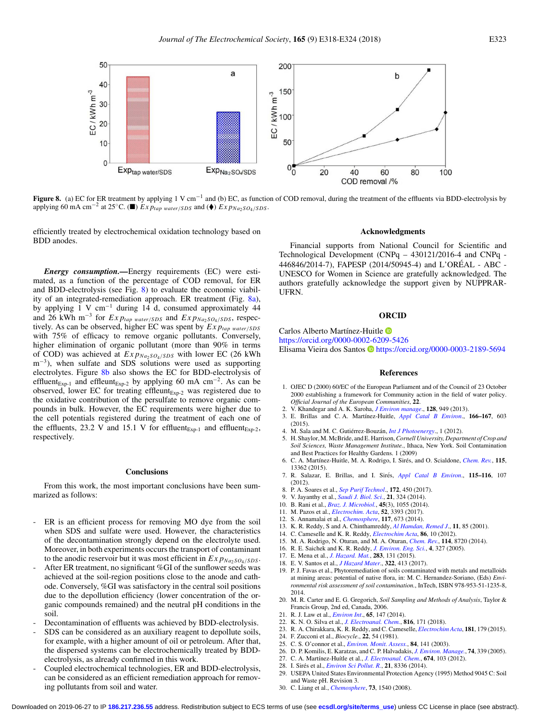<span id="page-5-27"></span>

**Figure 8.** (a) EC for ER treatment by applying 1 V cm−<sup>1</sup> and (b) EC, as function of COD removal, during the treatment of the effluents via BDD-electrolysis by applying 60 mA cm<sup>−2</sup> at 25<sup>◦</sup>C. (■)  $\overline{Ex \ p_{tap \ water/SDS}}$  and (♦)  $\overline{Ex \ p_{Na_2SO_4/SDS}}$ .

efficiently treated by electrochemical oxidation technology based on BDD anodes.

*Energy consumption.—*Energy requirements (EC) were estimated, as a function of the percentage of COD removal, for ER and BDD-electrolysis (see Fig. [8\)](#page-5-27) to evaluate the economic viability of an integrated-remediation approach. ER treatment (Fig. [8a\)](#page-5-27), by applying 1 V cm−<sup>1</sup> during 14 d, consumed approximately 44 and 26 kWh m<sup>-3</sup> for  $Exp_{tap \ water/SDS}$  and  $Exp_{Na_2SO_4/SDS}$ , respectively. As can be observed, higher EC was spent by  $Exp_{tap \ water/SDS}$ with 75% of efficacy to remove organic pollutants. Conversely, higher elimination of organic pollutant (more than 90% in terms of COD) was achieved at  $Exp_{Na_2SO_4/SDS}$  with lower EC (26 kWh m<sup>-3</sup>), when sulfate and SDS solutions were used as supporting electrolytes. Figure [8b](#page-5-27) also shows the EC for BDD-electrolysis of effluent<sub>Exp-1</sub> and effleunt<sub>Exp-2</sub> by applying 60 mA cm<sup>-2</sup>. As can be observed, lower EC for treating effleunt $_{Exp-2}$  was registered due to the oxidative contribution of the persulfate to remove organic compounds in bulk. However, the EC requirements were higher due to the cell potentials registered during the treatment of each one of the effluents, 23.2 V and 15.1 V for effluent<sub>Exp-1</sub> and effluent<sub>Exp-2</sub>, respectively.

# **Conclusions**

From this work, the most important conclusions have been summarized as follows:

- ER is an efficient process for removing MO dye from the soil when SDS and sulfate were used. However, the characteristics of the decontamination strongly depend on the electrolyte used. Moreover, in both experiments occurs the transport of contaminant to the anodic reservoir but it was most efficient in  $Exp_{Na_2SO_4/SDS}$ .
- After ER treatment, no significant %GI of the sunflower seeds was achieved at the soil-region positions close to the anode and cathode. Conversely, %GI was satisfactory in the central soil positions due to the depollution efficiency (lower concentration of the organic compounds remained) and the neutral pH conditions in the soil.
- Decontamination of effluents was achieved by BDD-electrolysis.
- SDS can be considered as an auxiliary reagent to depollute soils, for example, with a higher amount of oil or petroleum. After that, the dispersed systems can be electrochemically treated by BDDelectrolysis, as already confirmed in this work.
- Coupled electrochemical technologies, ER and BDD-electrolysis, can be considered as an efficient remediation approach for removing pollutants from soil and water.

## **Acknowledgments**

Financial supports from National Council for Scientific and Technological Development (CNPq – 430121/2016-4 and CNPq - 446846/2014-7), FAPESP (2014/50945-4) and L'OREAL - ABC - ´ UNESCO for Women in Science are gratefully acknowledged. The authors gratefully acknowledge the support given by NUPPRAR-UFRN.

# **ORCID**

<span id="page-5-0"></span>Carlos Alberto Martínez-Huitle <sup>D</sup>

<https://orcid.org/0000-0002-6209-5426>

<span id="page-5-1"></span>Elisama Vieira dos Santos D<https://orcid.org/0000-0003-2189-5694>

#### <span id="page-5-13"></span><span id="page-5-11"></span><span id="page-5-9"></span><span id="page-5-8"></span><span id="page-5-6"></span><span id="page-5-5"></span><span id="page-5-3"></span><span id="page-5-2"></span>**References**

- 1. OJEC D (2000) 60/EC of the European Parliament and of the Council of 23 October 2000 establishing a framework for Community action in the field of water policy. *Official Journal of the European Communities*, **22**.
- 2. V. Khandegar and A. K. Saroha, *[J Environ manage](http://dx.doi.org/10.1016/j.jenvman.2013.06.043)*., **128**, 949 (2013).
- <span id="page-5-4"></span>3. E. Brillas and C. A. Mart´ınez-Huitle, *[Appl Catal B Environ](http://dx.doi.org/10.1016/j.apcatb.2014.11.016)*., **166–167**, 603  $(2015)$
- 4. M. Sala and M. C. Gutiérrez-Bouzán, *[Int J Photoenergy](http://dx.doi.org/10.1155/2012/629103)*., 1 (2012).
- 5. H. Shaylor, M. McBride, and E. Harrison,*Cornell University, Department of Crop and Soil Sciences, Waste Management Institute.*, Ithaca, New York. Soil Contamination and Best Practices for Healthy Gardens. 1 (2009)
- 6. C. A. Martínez-Huitle, M. A. Rodrigo, I. Sirés, and O. Scialdone, *[Chem. Rev.](http://dx.doi.org/10.1021/acs.chemrev.5b00361)*, 115, 13362 (2015).
- <span id="page-5-7"></span>7. R. Salazar, E. Brillas, and I. Sirés, *[Appl Catal B Environ](http://dx.doi.org/10.1016/j.apcatb.2011.12.026).*, 115-116, 107 (2012).
- 8. P. A. Soares et al., *[Sep Purif Technol](http://dx.doi.org/10.1016/j.seppur.2016.08.036)*., **172**, 450 (2017).
- <span id="page-5-10"></span>9. V. Jayanthy et al., *[Saudi J. Biol. Sci.](http://dx.doi.org/10.1016/j.sjbs.2013.12.001)*, **21**, 324 (2014).
- 10. B. Rani et al., *[Braz. J. Microbiol.](http://dx.doi.org/10.1590/S1517-83822014000300039)*, **45**(3), 1055 (2014).
- 11. M. Pazos et al., *[Electrochim. Acta](http://dx.doi.org/10.1016/j.electacta.2006.04.067)*, **52**, 3393 (2017).
- 12. S. Annamalai et al., *[Chemosphere](http://dx.doi.org/10.1016/j.chemosphere.2014.10.023)*, **117**, 673 (2014).
- 13. K. R. Reddy, S and A. Chinthamreddy, *[Al Hamdan, Remed J](http://dx.doi.org/10.1002/rem.1006)*., **11**, 85 (2001).
- 14. C. Cameselle and K. R. Reddy, *[Electrochim Acta](http://dx.doi.org/10.1016/j.electacta.2012.06.121)*, **86**, 10 (2012).
- <span id="page-5-14"></span><span id="page-5-12"></span>15. M. A. Rodrigo, N. Oturan, and M. A. Oturan, *[Chem. Rev.](http://dx.doi.org/10.1021/cr500077e)*, **114**, 8720 (2014).
- 16. R. E. Saichek and K. R. Reddy, *[J. Environ. Eng. Sci.](http://dx.doi.org/10.1139/s04-064)*, **4**, 327 (2005).
- 17. E. Mena et al., *[J. Hazard. Mat.](http://dx.doi.org/10.1016/j.jhazmat.2014.08.069)*, **283**, 131 (2015).
- <span id="page-5-15"></span>18. E. V. Santos et al., *[J Hazard Mater](http://dx.doi.org/10.1016/j.jhazmat.2016.10.032)*., **322**, 413 (2017). 19. P. J. Favas et al., Phytoremediation of soils contaminated with metals and metalloids at mining areas: potential of native flora, in: M. C. Hernandez-Soriano, (Eds) *Environmental risk assessment of soil contamination.*, InTech, ISBN 978-953-51-1235-8, 2014.
- <span id="page-5-16"></span>20. M. R. Carter and E. G. Gregorich, *Soil Sampling and Methods of Analysis*, Taylor & Francis Group, 2nd ed, Canada, 2006.
- <span id="page-5-20"></span><span id="page-5-19"></span><span id="page-5-18"></span><span id="page-5-17"></span>21. R. J. Law et al., *[Environ Int](http://dx.doi.org/10.1016/j.envint.2014.01.006)*., **65**, 147 (2014).
- 22. K. N. O. Silva et al., *[J. Electroanal. Chem.](http://dx.doi.org/10.1016/j.jelechem.2018.03.051)*, **816**, 171 (2018).
- 23. R. A. Chirakkara, K. R. Reddy, and C. Cameselle, *[Electrochim Acta](http://dx.doi.org/10.1016/j.electacta.2015.01.025)*, **181**, 179 (2015).
- <span id="page-5-21"></span>24. F. Zucconi et al., *Biocycle*., **22**, 54 (1981).
- 25. C. S. O'connor et al., *[Environ. Monit. Assess.](http://dx.doi.org/10.1023/A:1022851501118)*, **84**, 141 (2003).
- <span id="page-5-22"></span>26. D. P. Komilis, E. Karatzas, and C. P. Halvadakis, *[J. Environ. Manage.](http://dx.doi.org/10.1016/j.jenvman.2004.09.009)*, **74**, 339 (2005).
- <span id="page-5-23"></span>27. C. A. Martínez-Huítle et al., *[J. Electroanal. Chem.](http://dx.doi.org/10.1016/j.jelechem.2012.02.005)*, **674**, 103 (2012).
- <span id="page-5-24"></span>28. I. Sirés et al., *[Environ Sci Pollut. R.](http://dx.doi.org/10.1007/s11356-014-2783-1)*, **21**, 8336 (2014).
- 29. USEPA United States Environmental Protection Agency (1995) Method 9045 C: Soil and Waste pH. Revision 3.
- <span id="page-5-26"></span><span id="page-5-25"></span>30. C. Liang et al., *[Chemosphere](http://dx.doi.org/10.1016/j.chemosphere.2008.08.043)*, **73**, 1540 (2008).